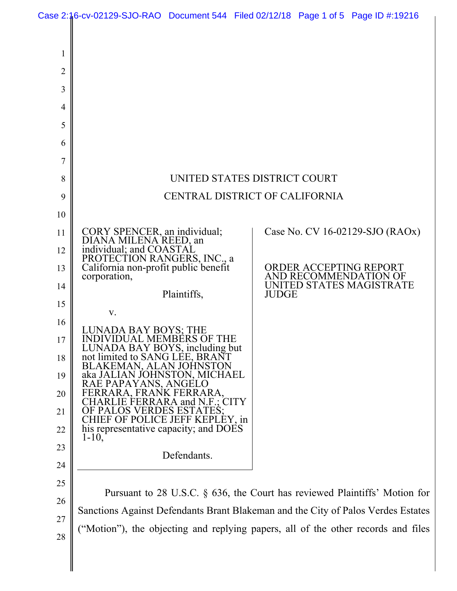|                                                                                                                                       | Case 2:16-cv-02129-SJO-RAO Document 544 Filed 02/12/18 Page 1 of 5 Page ID #:19216                                                                                                                                                                                                                                                                                                                                                                            |                                                                               |  |              |  |                                                                                                                |
|---------------------------------------------------------------------------------------------------------------------------------------|---------------------------------------------------------------------------------------------------------------------------------------------------------------------------------------------------------------------------------------------------------------------------------------------------------------------------------------------------------------------------------------------------------------------------------------------------------------|-------------------------------------------------------------------------------|--|--------------|--|----------------------------------------------------------------------------------------------------------------|
| 1<br>$\overline{2}$<br>3<br>$\overline{4}$<br>5<br>6<br>7<br>8<br>9<br>10<br>11<br>12<br>13<br>14<br>15<br>16<br>17<br>18<br>19<br>20 | CORY SPENCER, an individual;<br>DIANA MILENA REED, an<br>individual; and COASTAL<br>PROTECTION RANGERS, INC., a<br>California non-profit public benefit<br>corporation,<br>V.<br><b>LUNADA BAY BOYS; THE</b><br>INDIVIDUAL MEMBÉRS OF THE<br>LUNADA BAY BOYS, including but<br>not limited to SANG LEE, BRANT<br>BLAKEMAN, ALAN JOHNSTON<br>aka JALIAN JOHNSTON, MICHAEL<br>RAE PAPAYANS, ANGELO<br>FERRARA, FRANK FERRARA,<br>CHARLIE FERRARA and N.F.; CITY | UNITED STATES DISTRICT COURT<br>CENTRAL DISTRICT OF CALIFORNIA<br>Plaintiffs, |  | <b>JUDGE</b> |  | Case No. CV 16-02129-SJO (RAOx)<br>ORDER ACCEPTING REPORT<br>AND RECOMMENDATION OF<br>UNITED STATES MAGISTRATE |
|                                                                                                                                       |                                                                                                                                                                                                                                                                                                                                                                                                                                                               |                                                                               |  |              |  |                                                                                                                |
|                                                                                                                                       |                                                                                                                                                                                                                                                                                                                                                                                                                                                               |                                                                               |  |              |  |                                                                                                                |
|                                                                                                                                       |                                                                                                                                                                                                                                                                                                                                                                                                                                                               |                                                                               |  |              |  |                                                                                                                |
|                                                                                                                                       |                                                                                                                                                                                                                                                                                                                                                                                                                                                               |                                                                               |  |              |  |                                                                                                                |
|                                                                                                                                       |                                                                                                                                                                                                                                                                                                                                                                                                                                                               |                                                                               |  |              |  |                                                                                                                |
|                                                                                                                                       |                                                                                                                                                                                                                                                                                                                                                                                                                                                               |                                                                               |  |              |  |                                                                                                                |
|                                                                                                                                       |                                                                                                                                                                                                                                                                                                                                                                                                                                                               |                                                                               |  |              |  |                                                                                                                |
|                                                                                                                                       |                                                                                                                                                                                                                                                                                                                                                                                                                                                               |                                                                               |  |              |  |                                                                                                                |
|                                                                                                                                       |                                                                                                                                                                                                                                                                                                                                                                                                                                                               |                                                                               |  |              |  |                                                                                                                |
|                                                                                                                                       |                                                                                                                                                                                                                                                                                                                                                                                                                                                               |                                                                               |  |              |  |                                                                                                                |
|                                                                                                                                       |                                                                                                                                                                                                                                                                                                                                                                                                                                                               |                                                                               |  |              |  |                                                                                                                |
| 21                                                                                                                                    | OF PALOS VERDES ESTATES;<br>CHIEF OF POLICE JEFF KEPLEY, in                                                                                                                                                                                                                                                                                                                                                                                                   |                                                                               |  |              |  |                                                                                                                |
| 22                                                                                                                                    | his representative capacity; and DOES<br>$1 - 10$ ,                                                                                                                                                                                                                                                                                                                                                                                                           |                                                                               |  |              |  |                                                                                                                |
| 23                                                                                                                                    |                                                                                                                                                                                                                                                                                                                                                                                                                                                               | Defendants.                                                                   |  |              |  |                                                                                                                |
| 24                                                                                                                                    |                                                                                                                                                                                                                                                                                                                                                                                                                                                               |                                                                               |  |              |  |                                                                                                                |
| 25                                                                                                                                    | Pursuant to 28 U.S.C. § 636, the Court has reviewed Plaintiffs' Motion for<br>Sanctions Against Defendants Brant Blakeman and the City of Palos Verdes Estates                                                                                                                                                                                                                                                                                                |                                                                               |  |              |  |                                                                                                                |
| 26                                                                                                                                    |                                                                                                                                                                                                                                                                                                                                                                                                                                                               |                                                                               |  |              |  |                                                                                                                |
| 27                                                                                                                                    | ("Motion"), the objecting and replying papers, all of the other records and files                                                                                                                                                                                                                                                                                                                                                                             |                                                                               |  |              |  |                                                                                                                |
| 28                                                                                                                                    |                                                                                                                                                                                                                                                                                                                                                                                                                                                               |                                                                               |  |              |  |                                                                                                                |
|                                                                                                                                       |                                                                                                                                                                                                                                                                                                                                                                                                                                                               |                                                                               |  |              |  |                                                                                                                |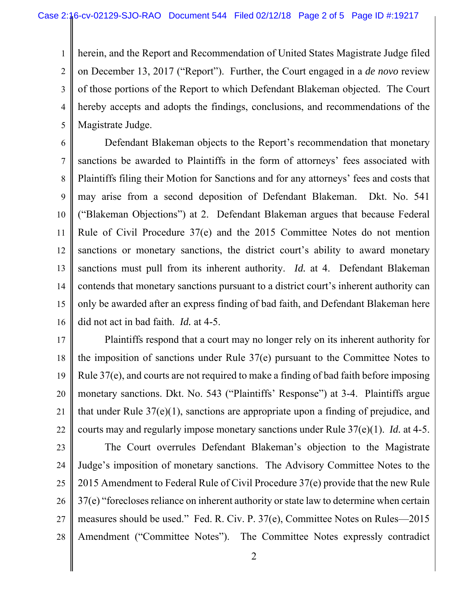1 2 3 4 5 herein, and the Report and Recommendation of United States Magistrate Judge filed on December 13, 2017 ("Report"). Further, the Court engaged in a *de novo* review of those portions of the Report to which Defendant Blakeman objected. The Court hereby accepts and adopts the findings, conclusions, and recommendations of the Magistrate Judge.

6 7 8 9 10 11 12 13 14 15 16 Defendant Blakeman objects to the Report's recommendation that monetary sanctions be awarded to Plaintiffs in the form of attorneys' fees associated with Plaintiffs filing their Motion for Sanctions and for any attorneys' fees and costs that may arise from a second deposition of Defendant Blakeman. Dkt. No. 541 ("Blakeman Objections") at 2. Defendant Blakeman argues that because Federal Rule of Civil Procedure 37(e) and the 2015 Committee Notes do not mention sanctions or monetary sanctions, the district court's ability to award monetary sanctions must pull from its inherent authority. *Id.* at 4. Defendant Blakeman contends that monetary sanctions pursuant to a district court's inherent authority can only be awarded after an express finding of bad faith, and Defendant Blakeman here did not act in bad faith. *Id.* at 4-5.

17 18 19 20 21 22 Plaintiffs respond that a court may no longer rely on its inherent authority for the imposition of sanctions under Rule 37(e) pursuant to the Committee Notes to Rule 37(e), and courts are not required to make a finding of bad faith before imposing monetary sanctions. Dkt. No. 543 ("Plaintiffs' Response") at 3-4. Plaintiffs argue that under Rule 37(e)(1), sanctions are appropriate upon a finding of prejudice, and courts may and regularly impose monetary sanctions under Rule 37(e)(1). *Id.* at 4-5.

23 24 25 26 27 28 The Court overrules Defendant Blakeman's objection to the Magistrate Judge's imposition of monetary sanctions. The Advisory Committee Notes to the 2015 Amendment to Federal Rule of Civil Procedure 37(e) provide that the new Rule 37(e) "forecloses reliance on inherent authority or state law to determine when certain measures should be used." Fed. R. Civ. P. 37(e), Committee Notes on Rules—2015 Amendment ("Committee Notes"). The Committee Notes expressly contradict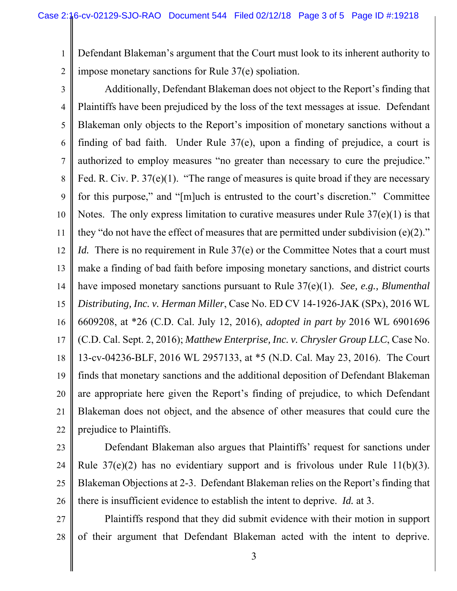1 2 Defendant Blakeman's argument that the Court must look to its inherent authority to impose monetary sanctions for Rule 37(e) spoliation.

3 4 5 6 7 8 9 10 11 12 13 14 15 16 17 18 19 20 21 22 Additionally, Defendant Blakeman does not object to the Report's finding that Plaintiffs have been prejudiced by the loss of the text messages at issue. Defendant Blakeman only objects to the Report's imposition of monetary sanctions without a finding of bad faith. Under Rule 37(e), upon a finding of prejudice, a court is authorized to employ measures "no greater than necessary to cure the prejudice." Fed. R. Civ. P. 37(e)(1). "The range of measures is quite broad if they are necessary for this purpose," and "[m]uch is entrusted to the court's discretion." Committee Notes. The only express limitation to curative measures under Rule 37(e)(1) is that they "do not have the effect of measures that are permitted under subdivision  $(e)(2)$ ." *Id.* There is no requirement in Rule 37(e) or the Committee Notes that a court must make a finding of bad faith before imposing monetary sanctions, and district courts have imposed monetary sanctions pursuant to Rule 37(e)(1). *See, e.g., Blumenthal Distributing, Inc. v. Herman Miller*, Case No. ED CV 14-1926-JAK (SPx), 2016 WL 6609208, at \*26 (C.D. Cal. July 12, 2016), *adopted in part by* 2016 WL 6901696 (C.D. Cal. Sept. 2, 2016); *Matthew Enterprise, Inc. v. Chrysler Group LLC*, Case No. 13-cv-04236-BLF, 2016 WL 2957133, at \*5 (N.D. Cal. May 23, 2016). The Court finds that monetary sanctions and the additional deposition of Defendant Blakeman are appropriate here given the Report's finding of prejudice, to which Defendant Blakeman does not object, and the absence of other measures that could cure the prejudice to Plaintiffs.

23

24 25 26 Defendant Blakeman also argues that Plaintiffs' request for sanctions under Rule  $37(e)(2)$  has no evidentiary support and is frivolous under Rule 11(b)(3). Blakeman Objections at 2-3. Defendant Blakeman relies on the Report's finding that there is insufficient evidence to establish the intent to deprive. *Id.* at 3.

27 28 Plaintiffs respond that they did submit evidence with their motion in support of their argument that Defendant Blakeman acted with the intent to deprive.

3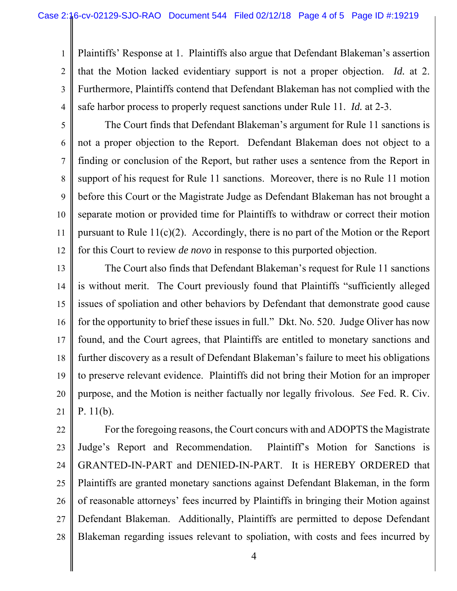2 3 4 Plaintiffs' Response at 1. Plaintiffs also argue that Defendant Blakeman's assertion that the Motion lacked evidentiary support is not a proper objection. *Id.* at 2. Furthermore, Plaintiffs contend that Defendant Blakeman has not complied with the safe harbor process to properly request sanctions under Rule 11. *Id.* at 2-3.

5

6

7

8

9

10

11

12

1

The Court finds that Defendant Blakeman's argument for Rule 11 sanctions is not a proper objection to the Report. Defendant Blakeman does not object to a finding or conclusion of the Report, but rather uses a sentence from the Report in support of his request for Rule 11 sanctions. Moreover, there is no Rule 11 motion before this Court or the Magistrate Judge as Defendant Blakeman has not brought a separate motion or provided time for Plaintiffs to withdraw or correct their motion pursuant to Rule  $11(c)(2)$ . Accordingly, there is no part of the Motion or the Report for this Court to review *de novo* in response to this purported objection.

13 14 15 16 17 18 19 20 21 The Court also finds that Defendant Blakeman's request for Rule 11 sanctions is without merit. The Court previously found that Plaintiffs "sufficiently alleged issues of spoliation and other behaviors by Defendant that demonstrate good cause for the opportunity to brief these issues in full." Dkt. No. 520. Judge Oliver has now found, and the Court agrees, that Plaintiffs are entitled to monetary sanctions and further discovery as a result of Defendant Blakeman's failure to meet his obligations to preserve relevant evidence. Plaintiffs did not bring their Motion for an improper purpose, and the Motion is neither factually nor legally frivolous. *See* Fed. R. Civ. P. 11(b).

22 23 24 25 26 27 28 For the foregoing reasons, the Court concurs with and ADOPTS the Magistrate Judge's Report and Recommendation. Plaintiff's Motion for Sanctions is GRANTED-IN-PART and DENIED-IN-PART. It is HEREBY ORDERED that Plaintiffs are granted monetary sanctions against Defendant Blakeman, in the form of reasonable attorneys' fees incurred by Plaintiffs in bringing their Motion against Defendant Blakeman. Additionally, Plaintiffs are permitted to depose Defendant Blakeman regarding issues relevant to spoliation, with costs and fees incurred by

4